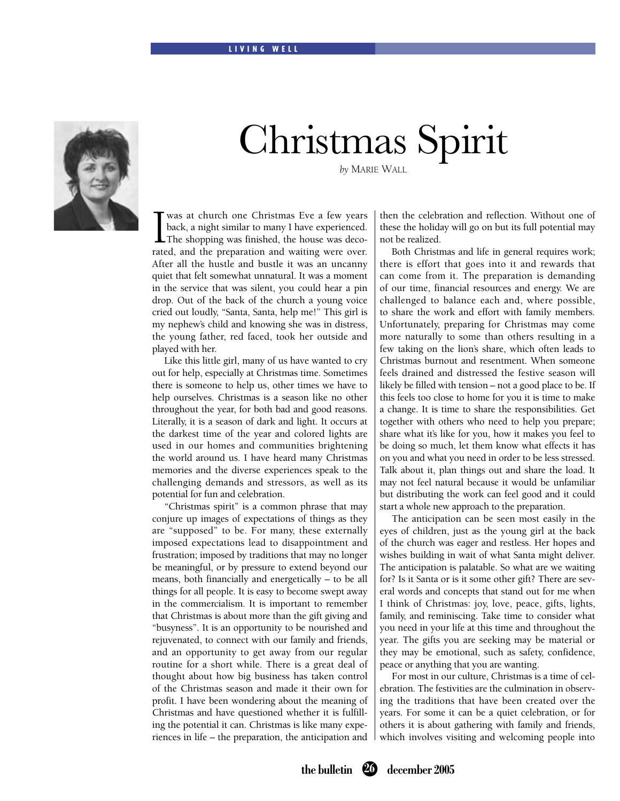## LIVING WELL



## Christmas Spirit

*by* MARIE WALL

 $\prod_{\text{rate}}$ was at church one Christmas Eve a few years back, a night similar to many I have experienced. The shopping was finished, the house was decorated, and the preparation and waiting were over. After all the hustle and bustle it was an uncanny quiet that felt somewhat unnatural. It was a moment in the service that was silent, you could hear a pin drop. Out of the back of the church a young voice cried out loudly, "Santa, Santa, help me!" This girl is my nephew's child and knowing she was in distress, the young father, red faced, took her outside and played with her.

 Like this little girl, many of us have wanted to cry out for help, especially at Christmas time. Sometimes there is someone to help us, other times we have to help ourselves. Christmas is a season like no other throughout the year, for both bad and good reasons. Literally, it is a season of dark and light. It occurs at the darkest time of the year and colored lights are used in our homes and communities brightening the world around us. I have heard many Christmas memories and the diverse experiences speak to the challenging demands and stressors, as well as its potential for fun and celebration.

 "Christmas spirit" is a common phrase that may conjure up images of expectations of things as they are "supposed" to be. For many, these externally imposed expectations lead to disappointment and frustration; imposed by traditions that may no longer be meaningful, or by pressure to extend beyond our means, both financially and energetically – to be all things for all people. It is easy to become swept away in the commercialism. It is important to remember that Christmas is about more than the gift giving and "busyness". It is an opportunity to be nourished and rejuvenated, to connect with our family and friends, and an opportunity to get away from our regular routine for a short while. There is a great deal of thought about how big business has taken control of the Christmas season and made it their own for profit. I have been wondering about the meaning of Christmas and have questioned whether it is fulfilling the potential it can. Christmas is like many experiences in life – the preparation, the anticipation and then the celebration and reflection. Without one of these the holiday will go on but its full potential may not be realized.

Both Christmas and life in general requires work; there is effort that goes into it and rewards that can come from it. The preparation is demanding of our time, financial resources and energy. We are challenged to balance each and, where possible, to share the work and effort with family members. Unfortunately, preparing for Christmas may come more naturally to some than others resulting in a few taking on the lion's share, which often leads to Christmas burnout and resentment. When someone feels drained and distressed the festive season will likely be filled with tension – not a good place to be. If this feels too close to home for you it is time to make a change. It is time to share the responsibilities. Get together with others who need to help you prepare; share what it's like for you, how it makes you feel to be doing so much, let them know what effects it has on you and what you need in order to be less stressed. Talk about it, plan things out and share the load. It may not feel natural because it would be unfamiliar but distributing the work can feel good and it could start a whole new approach to the preparation.

 The anticipation can be seen most easily in the eyes of children, just as the young girl at the back of the church was eager and restless. Her hopes and wishes building in wait of what Santa might deliver. The anticipation is palatable. So what are we waiting for? Is it Santa or is it some other gift? There are several words and concepts that stand out for me when I think of Christmas: joy, love, peace, gifts, lights, family, and reminiscing. Take time to consider what you need in your life at this time and throughout the year. The gifts you are seeking may be material or they may be emotional, such as safety, confidence, peace or anything that you are wanting.

For most in our culture, Christmas is a time of celebration. The festivities are the culmination in observing the traditions that have been created over the years. For some it can be a quiet celebration, or for others it is about gathering with family and friends, which involves visiting and welcoming people into